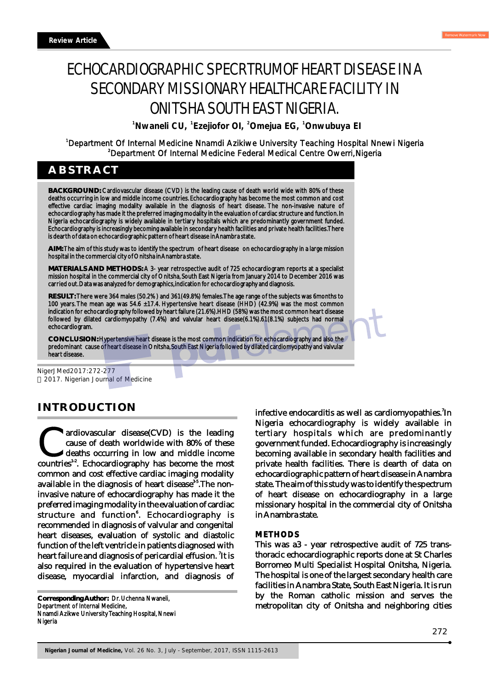# ECHOCARDIOGRAPHIC SPECRTRUMOF HEART DISEASE IN A SECONDARY MISSIONARY HEALTHCARE FACILITY IN ONITSHA SOUTH EAST NIGERIA.

<sup>1</sup> Nwaneli CU, <sup>1</sup> Ezejiofor OI, <sup>2</sup> Omejua EG, <sup>1</sup> Onwubuya El

<sup>1</sup>Department Of Internal Medicine Nnamdi Azikiwe University Teaching Hospital Nnewi Nigeria <sup>2</sup>Department Of Internal Medicine Federal Medical Centre Owerri,Nigeria

# **ABSTRACT**

**BACKGROUND:** Cardiovascular disease (CVD) is the leading cause of death world wide with 80% of these deaths occurring in low and middle income countries. Echocardiography has become the most common and cost effective cardiac imaging modality available in the diagnosis of heart disease. The non-invasive nature of echocardiography has made it the preferred imaging modality in the evaluation of cardiac structure and function. In Nigeria echocardiography is widely available in tertiary hospitals which are predominantly government funded. Echocardiography is increasingly becoming available in secondary health facilities and private health facilities. There is dearth of data on echocardiographic pattern of heart disease in Anambra state.

**AIM:** The aim of this study was to identify the spectrum of heart disease on echocardiography in a large mission hospital in the commercial city of Onitsha in Anambra state.

**MATERIALS AND METHODS:** A 3- year retrospective audit of 725 echocardiogram reports at a specialist mission hospital in the commercial city of Onitsha, South East Nigeria from January 2014 to December 2016 was carried out. Data was analyzed for demographics, indication for echocardiography and diagnosis.

**RESULT:** There were 364 males (50.2% ) and 361(49.8%) females. The age range of the subjects was 6months to 100 years. The mean age was 54.6 ±17.4. Hypertensive heart disease (HHD) (42.9%) was the most common indication for echocardiography followed by heart failure (21.6%).HHD (58%) was the most common heart disease followed by dilated cardiomyopathy (7.4%) and valvular heart disease(6.1%).61(8.1%) subjects had normal echocardiogram.

**CONCLUSION:** Hypertensive heart disease is the most common indication for echocardiography and also the predominant cause of heart disease in Onitsha, South East Nigeria followed by dilated cardiomyopathy and valvular heart disease.

NigerJMed2017:272-277 2017. Nigerian Journal of Medicine

# **INTRODUCTION**

ardiovascular disease(CVD) is the leading cause of death worldwide with 80% of these deaths occurring in low and middle income countries<sup>1,2</sup>. Echocardiography has become the most deaths occurring in low and middle income common and cost effective cardiac imaging modality available in the diagnosis of heart disease<sup>35</sup>. The noninvasive nature of echocardiography has made it the preferred imaging modality in the evaluation of cardiac structure and function<sup>6</sup>. Echocardiography is recommended in diagnosis of valvular and congenital heart diseases, evaluation of systolic and diastolic function of the left ventricle in patients diagnosed with heart failure and diagnosis of pericardial effusion. <sup>7</sup>It is also required in the evaluation of hypertensive heart disease, myocardial infarction, and diagnosis of

**Corresponding Author:** Dr. Uchenna Nwaneli, Department of Internal Medicine, Nnamdi Azikwe University Teaching Hospital, Nnewi Nigeria

infective endocarditis as well as cardiomyopathies.<sup>7</sup>In Nigeria echocardiography is widely available in tertiary hospitals which are predominantly government funded. Echocardiography is increasingly becoming available in secondary health facilities and private health facilities. There is dearth of data on echocardiographic pattern of heart disease in Anambra state. The aim of this study was to identify the spectrum of heart disease on echocardiography in a large missionary hospital in the commercial city of Onitsha in Anambra state.

## **METHODS**

This was a3 - year retrospective audit of 725 transthoracic echocardiographic reports done at St Charles Borromeo Multi Specialist Hospital Onitsha, Nigeria. The hospital is one of the largest secondary health care facilities in Anambra State, South East Nigeria. It is run by the Roman catholic mission and serves the metropolitan city of Onitsha and neighboring cities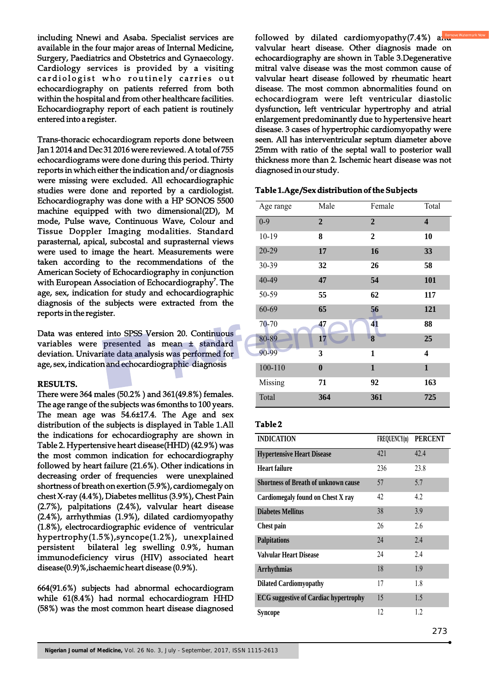including Nnewi and Asaba. Specialist services are available in the four major areas of Internal Medicine, Surgery, Paediatrics and Obstetrics and Gynaecology. Cardiology services is provided by a visiting cardiologist who routinely carries out echocardiography on patients referred from both within the hospital and from other healthcare facilities. Echocardiography report of each patient is routinely entered into a register.

Trans-thoracic echocardiogram reports done between Jan 1 2014 and Dec 31 2016 were reviewed. A total of 755 echocardiograms were done during this period. Thirty reports in which either the indication and/or diagnosis were missing were excluded. All echocardiographic studies were done and reported by a cardiologist. Echocardiography was done with a HP SONOS 5500 machine equipped with two dimensional(2D), M mode, Pulse wave, Continuous Wave, Colour and Tissue Doppler Imaging modalities. Standard parasternal, apical, subcostal and suprasternal views were used to image the heart. Measurements were taken according to the recommendations of the American Society of Echocardiography in conjunction with European Association of Echocardiography<sup>7</sup>. The age, sex, indication for study and echocardiographic diagnosis of the subjects were extracted from the reports in the register.

Data was entered into SPSS Version 20. Continuous variables were presented as mean ± standard deviation. Univariate data analysis was performed for age, sex, indication and echocardiographic diagnosis

## **RESULTS.**

There were 364 males (50.2% ) and 361(49.8%) females. The age range of the subjects was 6months to 100 years. The mean age was 54.6±17.4. The Age and sex distribution of the subjects is displayed in Table 1.All the indications for echocardiography are shown in Table 2. Hypertensive heart disease(HHD) (42.9%) was the most common indication for echocardiography followed by heart failure (21.6%). Other indications in decreasing order of frequencies were unexplained shortness of breath on exertion (5.9%), cardiomegaly on chest X-ray (4.4%), Diabetes mellitus (3.9%), Chest Pain (2.7%), palpitations (2.4%), valvular heart disease (2.4%), arrhythmias (1.9%), dilated cardiomyopathy (1.8%), electrocardiographic evidence of ventricular hypertrophy(1.5%),syncope(1.2%), unexplained persistent bilateral leg swelling 0.9%, human immunodeficiency virus (HIV) associated heart disease(0.9)%,ischaemic heart disease (0.9%).

664(91.6%) subjects had abnormal echocardiogram while 61(8.4%) had normal echocardiogram HHD (58%) was the most common heart disease diagnosed

followed by dilated cardiomyopathy(7.4%) and valvular heart disease. Other diagnosis made on echocardiography are shown in Table 3.Degenerative mitral valve disease was the most common cause of valvular heart disease followed by rheumatic heart disease. The most common abnormalities found on echocardiogram were left ventricular diastolic dysfunction, left ventricular hypertrophy and atrial enlargement predominantly due to hypertensive heart disease. 3 cases of hypertrophic cardiomyopathy were seen. All has interventricular septum diameter above 25mm with ratio of the septal wall to posterior wall thickness more than 2. Ischemic heart disease was not diagnosed in our study.

## **Table 1.Age /Sex distribution of the Subjects**

| Age range   | Male             | Female         | Total        |
|-------------|------------------|----------------|--------------|
| $0 - 9$     | $\overline{2}$   | $\overline{2}$ | 4            |
| 10-19       | 8                | 2              | 10           |
| 20-29       | 17               | 16             | 33           |
| 30-39       | 32               | 26             | 58           |
| 40-49       | 47               | 54             | 101          |
| 50-59       | 55               | 62             | 117          |
| 60-69       | 65               | 56             | 121          |
| 70-70       | 47               | 41             | 88           |
| 80-89       | 17               | 8              | 25           |
| 90-99       | 3                | 1              | 4            |
| $100 - 110$ | $\boldsymbol{0}$ | $\mathbf{1}$   | $\mathbf{1}$ |
| Missing     | 71               | 92             | 163          |
| Total       | 364              | 361            | 725          |

## **Table 2**

| <b>INDICATION</b>                            | <b>FREQUENCY(n)</b> | <b>PERCENT</b> |
|----------------------------------------------|---------------------|----------------|
| <b>Hypertensive Heart Disease</b>            | 421                 | 42.4           |
| Heart failure                                | 236                 | 23.8           |
| <b>Shortness of Breath of unknown cause</b>  | 57                  | 5.7            |
| Cardiomegaly found on Chest X ray            | 42                  | 4.2            |
| <b>Diabetes Mellitus</b>                     | 38                  | 3.9            |
| <b>Chest pain</b>                            | 26                  | 2.6            |
| <b>Palpitations</b>                          | 24                  | 2.4            |
| <b>Valvular Heart Disease</b>                | 24                  | 2.4            |
| <b>Arrhythmias</b>                           | 18                  | 1.9            |
| <b>Dilated Cardiomyopathy</b>                | 17                  | 1.8            |
| <b>ECG</b> suggestive of Cardiac hypertrophy | 15                  | 1.5            |
| Syncope                                      | 12                  | 1.2            |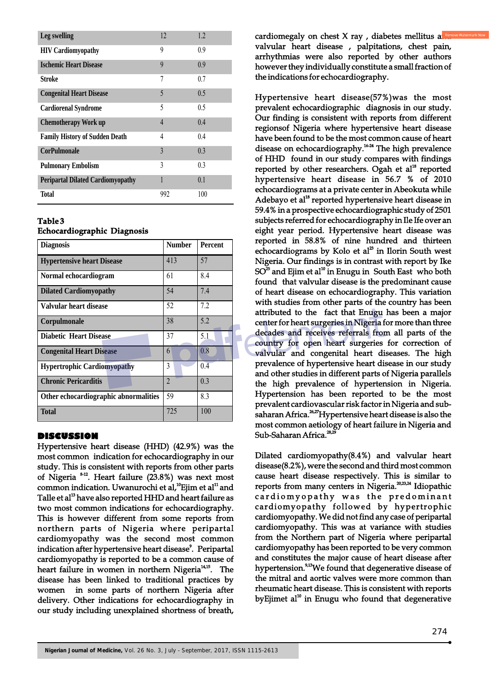| Leg swelling                             | 12             | 1.2. |
|------------------------------------------|----------------|------|
| <b>HIV Cardiomyopathy</b>                | 9              | 0.9  |
| <b>Ischemic Heart Disease</b>            | 9              | 0.9  |
| Stroke                                   | 7              | 0.7  |
| <b>Congenital Heart Disease</b>          | 5              | 0.5  |
| <b>Cardiorenal Syndrome</b>              | 5              | 0.5  |
| <b>Chemotherapy Work up</b>              | $\overline{4}$ | 0.4  |
| <b>Family History of Sudden Death</b>    | 4              | 0.4  |
| <b>CorPulmonale</b>                      | 3              | 0.3  |
| <b>Pulmonary Embolism</b>                | 3              | 0.3  |
| <b>Peripartal Dilated Cardiomyopathy</b> | 1              | 0.1  |
| <b>Total</b>                             | 992            | 100  |

# **Table 3**

## **Echocardiographic Diagnosis**

| <b>Diagnosis</b>                      | <b>Number</b>  | <b>Percent</b> |
|---------------------------------------|----------------|----------------|
| <b>Hypertensive heart Disease</b>     | 413            | 57             |
| Normal echocardiogram                 | 61             | 8.4            |
| <b>Dilated Cardiomy opathy</b>        | 54             | 7.4            |
| Valvular heart disease                | 52             | 7.2            |
| Corpulmonale                          | 38             | 5.2            |
| <b>Diabetic Heart Disease</b>         | 37             | 5.1            |
| <b>Congenital Heart Disease</b>       | 6              | 0.8            |
| <b>Hypertrophic Cardiomyopathy</b>    | 3              | 0.4            |
| <b>Chronic Pericarditis</b>           | $\overline{2}$ | 0.3            |
| Other echocardiographic abnormalities | 59             | 8.3            |
| <b>Total</b>                          | 725            | 100            |

## **DISCUSSION**

Hypertensive heart disease (HHD) (42.9%) was the most common indication for echocardiography in our study. This is consistent with reports from other parts of Nigeria  $8-12$ . Heart failure (23.8%) was next most common indication. Uwanurochi et al,<sup>10</sup> Ejim et al<sup>11</sup> and Talle et al<sup>13</sup> have also reported HHD and heart failure as two most common indications for echocardiography. This is however different from some reports from northern parts of Nigeria where peripartal cardiomyopathy was the second most common indication after hypertensive heart disease<sup>9</sup>. Peripartal cardiomyopathy is reported to be a common cause of heart failure in women in northern Nigeria<sup>14,15</sup>. The disease has been linked to traditional practices by women in some parts of northern Nigeria after delivery. Other indications for echocardiography in our study including unexplained shortness of breath,

cardiomegaly on chest X ray, diabetes mellitus and valvular heart disease , palpitations, chest pain, arrhythmias were also reported by other authors however they individually constitute a small fraction of the indications for echocardiography.

Hypertensive heart disease(57%)was the most prevalent echocardiographic diagnosis in our study. Our finding is consistent with reports from different regionsof Nigeria where hypertensive heart disease have been found to be the most common cause of heart disease on echocardiography.<sup>16-24</sup> The high prevalence of HHD found in our study compares with findings reported by other researchers. Ogah et  $al^{18}$  reported hypertensive heart disease in 56.7 % of 2010 echocardiograms at a private center in Abeokuta while Adebayo et al $^{18}$  reported hypertensive heart disease in 59.4% in a prospective echocardiographic study of 2501 subjects referred for echocardiography in Ile Ife over an eight year period. Hypertensive heart disease was reported in 58.8% of nine hundred and thirteen echocardiograms by Kolo et al<sup>23</sup> in Ilorin South west Nigeria. Our findings is in contrast with report by Ike  $SO^{25}$  and Ejim et al<sup>10</sup> in Enugu in South East who both found that valvular disease is the predominant cause of heart disease on echocardiography. This variation with studies from other parts of the country has been attributed to the fact that Enugu has been a major center for heart surgeries in Nigeria for more than three decades and receives referrals from all parts of the country for open heart surgeries for correction of valvular and congenital heart diseases. The high prevalence of hypertensive heart disease in our study and other studies in different parts of Nigeria parallels the high prevalence of hypertension in Nigeria. Hypertension has been reported to be the most prevalent cardiovascular risk factor in Nigeria and subsaharan Africa. <sup>26,27</sup> Hypertensive heart disease is also the most common aetiology of heart failure in Nigeria and Sub-Saharan Africa.<sup>28,2</sup>

Dilated cardiomyopathy(8.4%) and valvular heart disease(8.2%), were the second and third most common cause heart disease respectively. This is similar to reports from many centers in Nigeria. $^{20,23,24}$  Idiopathic cardiomyopathy was the predominant cardiomyopathy followed by hypertrophic cardiomyopathy. We did not find any case of peripartal cardiomyopathy. This was at variance with studies from the Northern part of Nigeria where peripartal cardiomyopathy has been reported to be very common and constitutes the major cause of heart disease after hypertension.<sup>9,13</sup>We found that degenerative disease of the mitral and aortic valves were more common than rheumatic heart disease. This is consistent with reports by Ejimet  $al<sup>10</sup>$  in Enugu who found that degenerative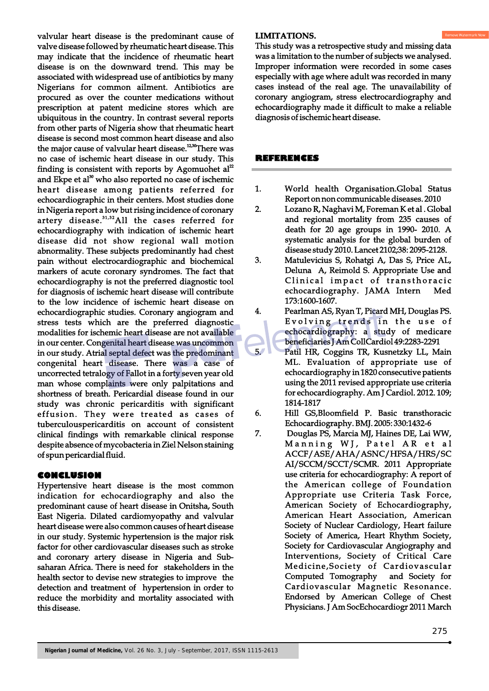valvular heart disease is the predominant cause of valve disease followed by rheumatic heart disease. This may indicate that the incidence of rheumatic heart disease is on the downward trend. This may be associated with widespread use of antibiotics by many Nigerians for common ailment. Antibiotics are procured as over the counter medications without prescription at patent medicine stores which are ubiquitous in the country. In contrast several reports from other parts of Nigeria show that rheumatic heart disease is second most common heart disease and also the major cause of valvular heart disease.<sup>12,30</sup> There was no case of ischemic heart disease in our study. This finding is consistent with reports by Agomuohet  $al<sup>2</sup>$ and Ekpe et al<sup>30</sup> who also reported no case of ischemic heart disease among patients referred for echocardiographic in their centers. Most studies done in Nigeria report a low but rising incidence of coronary artery disease. $31,32$ All the cases referred for echocardiography with indication of ischemic heart disease did not show regional wall motion abnormality. These subjects predominantly had chest pain without electrocardiographic and biochemical markers of acute coronary syndromes. The fact that echocardiography is not the preferred diagnostic tool for diagnosis of ischemic heart disease will contribute to the low incidence of ischemic heart disease on echocardiographic studies. Coronary angiogram and stress tests which are the preferred diagnostic modalities for ischemic heart disease are not available in our center. Congenital heart disease was uncommon in our study. Atrial septal defect was the predominant congenital heart disease. There was a case of uncorrected tetralogy of Fallot in a forty seven year old man whose complaints were only palpitations and shortness of breath. Pericardial disease found in our study was chronic pericarditis with significant effusion. They were treated as cases of tuberculouspericarditis on account of consistent clinical findings with remarkable clinical response despite absence of mycobacteria in Ziel Nelson staining of spun pericardial fluid.

# **CONCLUSION**

Hypertensive heart disease is the most common indication for echocardiography and also the predominant cause of heart disease in Onitsha, South East Nigeria. Dilated cardiomyopathy and valvular heart disease were also common causes of heart disease in our study. Systemic hypertension is the major risk factor for other cardiovascular diseases such as stroke and coronary artery disease in Nigeria and Subsaharan Africa. There is need for stakeholders in the health sector to devise new strategies to improve the detection and treatment of hypertension in order to reduce the morbidity and mortality associated with this disease.

# **LIMITATIONS.**

This study was a retrospective study and missing data was a limitation to the number of subjects we analysed. Improper information were recorded in some cases especially with age where adult was recorded in many cases instead of the real age. The unavailability of coronary angiogram, stress electrocardiography and echocardiography made it difficult to make a reliable diagnosis of ischemic heart disease.

# **REFERENCES**

- 1. World health Organisation.Global Status Report on non communicable diseases. 2010
- 2. Lozano R, Naghavi M, Foreman K et al . Global and regional mortality from 235 causes of death for 20 age groups in 1990- 2010. A systematic analysis for the global burden of disease study 2010. Lancet 2102;38: 2095-2128.
- 3. Matulevicius S, Rohatgi A, Das S, Price AL, Deluna A, Reimold S. Appropriate Use and Clinical impact of transthoracic echocardiography. JAMA Intern Med 173:1600-1607.
- 4. Pearlman AS, Ryan T, Picard MH, Douglas PS. Evolving trends in the use of echocardiography: a study of medicare beneficiaries J Am CollCardiol 49:2283-2291
- 5. Patil HR, Coggins TR, Kusnetzky LL, Main ML. Evaluation of appropriate use of echocardiography in 1820 consecutive patients using the 2011 revised appropriate use criteria for echocardiography. Am J Cardiol. 2012. 109; 1814-1817
- 6. Hill GS,Bloomfield P. Basic transthoracic Echocardiography. BMJ. 2005: 330:1432-6
- 7. Douglas PS, Marcia MJ, Haines DE, Lai WW, Manning WJ, Patel AR et al ACCF/ASE/AHA/ASNC/HFSA/HRS/SC AI/SCCM/SCCT/SCMR. 2011 Appropriate use criteria for echocardiography: A report of the American college of Foundation Appropriate use Criteria Task Force, American Society of Echocardiography, American Heart Association, American Society of Nuclear Cardiology, Heart failure Society of America, Heart Rhythm Society, Society for Cardiovascular Angiography and Interventions, Society of Critical Care Medicine,Society of Cardiovascular Computed Tomography and Society for Cardiovascular Magnetic Resonance. Endorsed by American College of Chest Physicians. J Am SocEchocardiogr 2011 March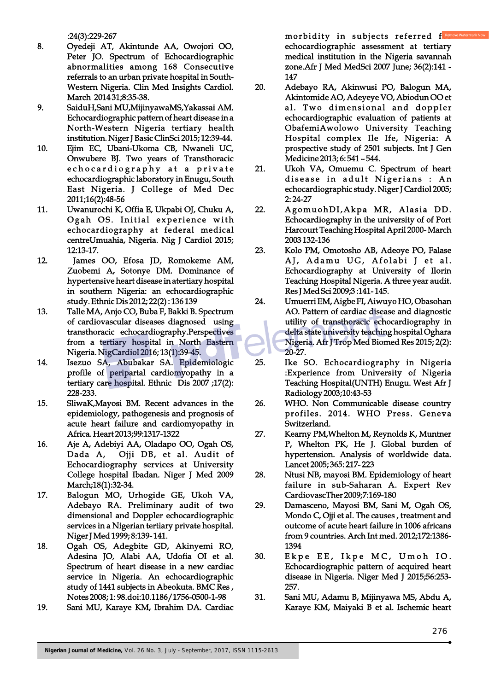:24(3):229-267

- 8. Oyedeji AT, Akintunde AA, Owojori OO, Peter JO. Spectrum of Echocardiographic abnormalities among 168 Consecutive referrals to an urban private hospital in South-Western Nigeria. Clin Med Insights Cardiol. March 2014 31;8:35-38.
- 9. SaiduH,Sani MU,MijinyawaMS,Yakassai AM. Echocardiographic pattern of heart disease in a North-Western Nigeria tertiary health institution. Niger J Basic ClinSci 2015; 12:39-44.
- 10. Ejim EC, Ubani-Ukoma CB, Nwaneli UC, Onwubere BJ. Two years of Transthoracic e cho cardio graphy at a private echocardiographic laboratory in Enugu, South East Nigeria. J College of Med Dec 2011;16(2):48-56
- 11. Uwanurochi K, Offia E, Ukpabi OJ, Chuku A, Ogah OS. Initial experience with echocardiography at federal medical centreUmuahia, Nigeria. Nig J Cardiol 2015; 12:13-17.
- 12. James OO, Efosa JD, Romokeme AM, Zuobemi A, Sotonye DM. Dominance of hypertensive heart disease in atertiary hospital in southern Nigeria: an echocardiographic study. Ethnic Dis 2012; 22(2) : 136 139
- 13. Talle MA, Anjo CO, Buba F, Bakki B. Spectrum of cardiovascular diseases diagnosed using transthoracic echocardiography.Perspectives from a tertiary hospital in North Eastern Nigeria. NigCardiol 2016; 13(1):39-45.
- 14. Isezuo SA, Abubakar SA. Epidemiologic profile of peripartal cardiomyopathy in a tertiary care hospital. Ethnic Dis 2007 ;17(2): 228-233.
- 15. SliwaK,Mayosi BM. Recent advances in the epidemiology, pathogenesis and prognosis of acute heart failure and cardiomyopathy in Africa. Heart 2013;99:1317-1322
- 16. Aje A, Adebiyi AA, Oladapo OO, Ogah OS, Dada A, Ojji DB, et al. Audit of Echocardiography services at University College hospital Ibadan. Niger J Med 2009 March;18(1):32-34.
- 17. Balogun MO, Urhogide GE, Ukoh VA, Adebayo RA. Preliminary audit of two dimensional and Doppler echocardiographic services in a Nigerian tertiary private hospital. Niger J Med 1999; 8:139- 141.
- 18. Ogah OS, Adegbite GD, Akinyemi RO, Adesina JO, Alabi AA, Udofia OI et al. Spectrum of heart disease in a new cardiac service in Nigeria. An echocardiographic study of 1441 subjects in Abeokuta. BMC Res , Notes 2008; 1: 98.doi:10.1186/1756-0500-1-98
- 19. Sani MU, Karaye KM, Ibrahim DA. Cardiac

morbidity in subjects referred  $f_{\text{rec}}$ echocardiographic assessment at tertiary medical institution in the Nigeria savannah zone.Afr J Med MedSci 2007 June; 36(2):141 - 147

- 20. Adebayo RA, Akinwusi PO, Balogun MA, Akintomide AO, Adeyeye VO, Abiodun OO et al. Two dimensional and doppler echocardiographic evaluation of patients at ObafemiAwolowo University Teaching Hospital complex Ile Ife, Nigeria: A prospective study of 2501 subjects. Int J Gen Medicine 2013; 6: 541 – 544.
- 21. Ukoh VA, Omuemu C. Spectrum of heart disease in adult Nigerians : An echocardiographic study. Niger J Cardiol 2005; 2: 24-27
- 22. AgomuohDI, Akpa MR, Alasia DD. Echocardiography in the university of of Port Harcourt Teaching Hospital April 2000- March 2003 132-136
- 23. Kolo PM, Omotosho AB, Adeoye PO, Falase AJ, Adamu UG, Afolabi J et al. Echocardiography at University of Ilorin Teaching Hospital Nigeria. A three year audit. Res J Med Sci 2009;3 :141- 145.
- 24. Umuerri EM, Aigbe FI, Aiwuyo HO, Obasohan AO. Pattern of cardiac disease and diagnostic utility of transthoracic echocardiography in delta state university teaching hospital Oghara Nigeria. Afr J Trop Med Biomed Res 2015; 2(2): 20-27.
- 25. Ike SO. Echocardiography in Nigeria :Experience from University of Nigeria Teaching Hospital(UNTH) Enugu. West Afr J Radiology 2003;10:43-53
- 26. WHO. Non Communicable disease country profiles. 2014. WHO Press. Geneva Switzerland.
- 27. Kearny PM,Whelton M, Reynolds K, Muntner P, Whelton PK, He J. Global burden of hypertension. Analysis of worldwide data. Lancet 2005; 365: 217- 223
- 28. Ntusi NB, mayosi BM. Epidemiology of heart failure in sub-Saharan A. Expert Rev CardiovascTher 2009;7:169-180
- 29. Damasceno, Mayosi BM, Sani M, Ogah OS, Mondo C, Ojji et al. The causes , treatment and outcome of acute heart failure in 1006 africans from 9 countries. Arch Int med. 2012;172:1386- 1394
- 30. Ekpe EE, Ikpe MC, Umoh IO. Echocardiographic pattern of acquired heart disease in Nigeria. Niger Med J 2015;56:253- 257.
- 31. Sani MU, Adamu B, Mijinyawa MS, Abdu A, Karaye KM, Maiyaki B et al. Ischemic heart